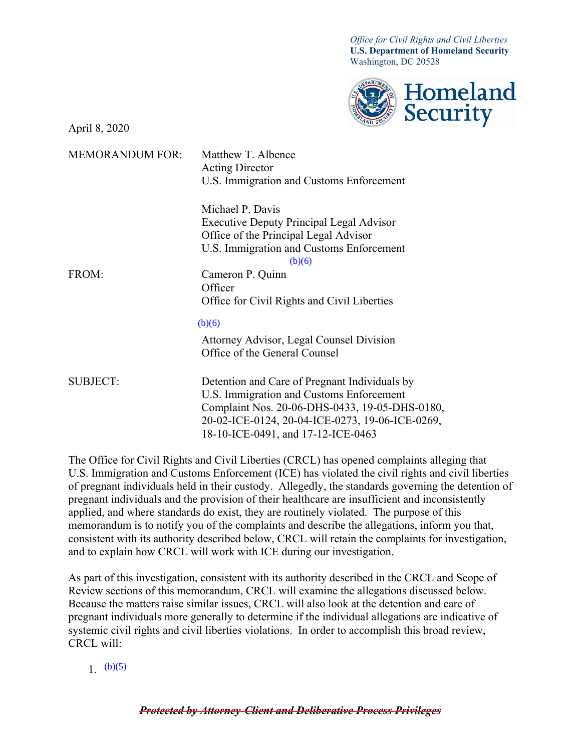*Office for Civil Rights and Civil Liberties* **U.S. Department of Homeland Security** Washington, DC 20528



April 8, 2020

| <b>MEMORANDUM FOR:</b> | Matthew T. Albence<br><b>Acting Director</b>       |
|------------------------|----------------------------------------------------|
|                        | U.S. Immigration and Customs Enforcement           |
|                        | Michael P. Davis                                   |
|                        | <b>Executive Deputy Principal Legal Advisor</b>    |
|                        | Office of the Principal Legal Advisor              |
|                        | U.S. Immigration and Customs Enforcement<br>(b)(6) |
| FROM:                  | Cameron P. Quinn                                   |
|                        | Officer                                            |
|                        | Office for Civil Rights and Civil Liberties        |
|                        | (b)(6)                                             |
|                        | Attorney Advisor, Legal Counsel Division           |
|                        | Office of the General Counsel                      |
| <b>SUBJECT:</b>        | Detention and Care of Pregnant Individuals by      |
|                        | U.S. Immigration and Customs Enforcement           |
|                        | Complaint Nos. 20-06-DHS-0433, 19-05-DHS-0180,     |
|                        | 20-02-ICE-0124, 20-04-ICE-0273, 19-06-ICE-0269,    |
|                        | 18-10-ICE-0491, and 17-12-ICE-0463                 |
|                        |                                                    |

The Office for Civil Rights and Civil Liberties (CRCL) has opened complaints alleging that U.S. Immigration and Customs Enforcement (ICE) has violated the civil rights and civil liberties of pregnant individuals held in their custody. Allegedly, the standards governing the detention of pregnant individuals and the provision of their healthcare are insufficient and inconsistently applied, and where standards do exist, they are routinely violated. The purpose of this memorandum is to notify you of the complaints and describe the allegations, inform you that, consistent with its authority described below, CRCL will retain the complaints for investigation, and to explain how CRCL will work with ICE during our investigation.

As part of this investigation, consistent with its authority described in the CRCL and Scope of Review sections of this memorandum, CRCL will examine the allegations discussed below. Because the matters raise similar issues, CRCL will also look at the detention and care of pregnant individuals more generally to determine if the individual allegations are indicative of systemic civil rights and civil liberties violations. In order to accomplish this broad review, CRCL will:

# 1.  $(b)(5)$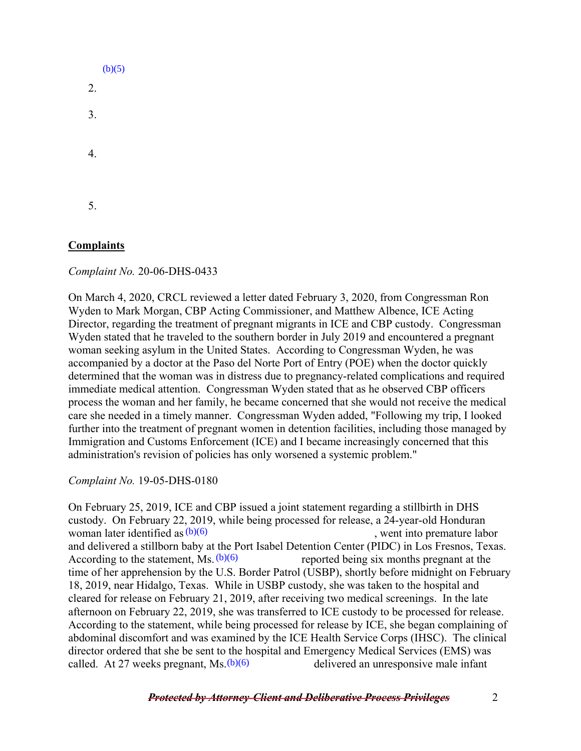|    | (b)(5) |
|----|--------|
| 2. |        |
| 3. |        |
| 4. |        |
| 5. |        |

# **Complaints**

*Complaint No.* 20-06-DHS-0433

On March 4, 2020, CRCL reviewed a letter dated February 3, 2020, from Congressman Ron Wyden to Mark Morgan, CBP Acting Commissioner, and Matthew Albence, ICE Acting Director, regarding the treatment of pregnant migrants in ICE and CBP custody. Congressman Wyden stated that he traveled to the southern border in July 2019 and encountered a pregnant woman seeking asylum in the United States. According to Congressman Wyden, he was accompanied by a doctor at the Paso del Norte Port of Entry (POE) when the doctor quickly determined that the woman was in distress due to pregnancy-related complications and required immediate medical attention. Congressman Wyden stated that as he observed CBP officers process the woman and her family, he became concerned that she would not receive the medical care she needed in a timely manner. Congressman Wyden added, "Following my trip, I looked further into the treatment of pregnant women in detention facilities, including those managed by Immigration and Customs Enforcement (ICE) and I became increasingly concerned that this administration's revision of policies has only worsened a systemic problem."

*Complaint No.* 19-05-DHS-0180

On February 25, 2019, ICE and CBP issued a joint statement regarding a stillbirth in DHS custody. On February 22, 2019, while being processed for release, a 24-year-old Honduran woman later identified as  $(b)(6)$  (b) example the set of the set of the premature labor set of the set of the set of the set of the set of the set of the set of the set of the set of the set of the set of the set of the se and delivered a stillborn baby at the Port Isabel Detention Center (PIDC) in Los Fresnos, Texas. reported being six months pregnant at the time of her apprehension by the U.S. Border Patrol (USBP), shortly before midnight on February 18, 2019, near Hidalgo, Texas. While in USBP custody, she was taken to the hospital and cleared for release on February 21, 2019, after receiving two medical screenings. In the late afternoon on February 22, 2019, she was transferred to ICE custody to be processed for release. According to the statement, while being processed for release by ICE, she began complaining of abdominal discomfort and was examined by the ICE Health Service Corps (IHSC). The clinical director ordered that she be sent to the hospital and Emergency Medical Services (EMS) was called. At 27 weeks pregnant,  $Ms(b)(6)$  delivered an unresponsive male infant According to the statement, Ms.  $(b)(6)$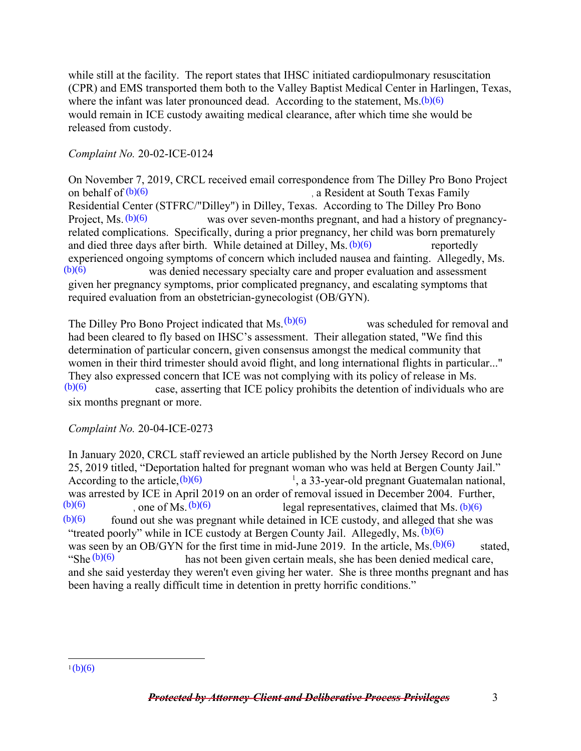while still at the facility. The report states that IHSC initiated cardiopulmonary resuscitation (CPR) and EMS transported them both to the Valley Baptist Medical Center in Harlingen, Texas, where the infant was later pronounced dead. According to the statement,  $Ms(b)(6)$ would remain in ICE custody awaiting medical clearance, after which time she would be released from custody.

### *Complaint No.* 20-02-ICE-0124

On November 7, 2019, CRCL received email correspondence from The Dilley Pro Bono Project , a Resident at South Texas Family Residential Center (STFRC/"Dilley") in Dilley, Texas. According to The Dilley Pro Bono Project,  $Ms. (b)(6)$  was over seven-months pregnant, and had a history of pregnancyrelated complications. Specifically, during a prior pregnancy, her child was born prematurely and died three days after birth. While detained at Dilley,  $Ms. (b)(6)$  reportedly experienced ongoing symptoms of concern which included nausea and fainting. Allegedly, Ms. was denied necessary specialty care and proper evaluation and assessment given her pregnancy symptoms, prior complicated pregnancy, and escalating symptoms that required evaluation from an obstetrician-gynecologist (OB/GYN). on behalf of  $(b)(6)$ Project, Ms.  $(b)(6)$ <br>related complicat<br>and died three day<br>experienced ongc<br> $(b)(6)$ 

The Dilley Pro Bono Project indicated that  $Ms. (b)(6)$  was scheduled for removal and had been cleared to fly based on IHSC's assessment. Their allegation stated, "We find this determination of particular concern, given consensus amongst the medical community that women in their third trimester should avoid flight, and long international flights in particular..." They also expressed concern that ICE was not complying with its policy of release in Ms. case, asserting that ICE policy prohibits the detention of individuals who are six months pregnant or more.  $(b)(6)$ 

#### *Complaint No.* 20-04-ICE-0273

In January 2020, CRCL staff reviewed an article published by the North Jersey Record on June 25, 2019 titled, "Deportation halted for pregnant woman who was held at Bergen County Jail." According to the article,  $(b)(6)$ <sup>1</sup>, a 33-year-old pregnant Guatemalan national, was arrested by ICE in April 2019 on an order of removal issued in December 2004. Further,<br> $\frac{(b)(6)}{(b)(6)}$  legal representatives claimed that Ms (b)(6) (b)(6)  $\log_{10}(b)$  (b)(6)  $\log_{10}(b)$  (b)(6)  $\log_{10}(b)$  (c)  $\log_{10}(b)$  (b)(6)  $\log_{10}(b)$  (c) found out she was pregnant while detained in ICE custody, and alleged that she was "treated poorly" while in ICE custody at Bergen County Jail. Allegedly, Ms.  $(b)(6)$ was seen by an OB/GYN for the first time in mid-June 2019. In the article, Ms.  $(b)(6)$  stated, <br>"She  $(b)(6)$  has not been given certain meals, she has been denied medical care. "She  $(b)(6)$  has not been given certain meals, she has been denied medical care, and she said yesterday they weren't even giving her water. She is three months pregnant and has been having a really difficult time in detention in pretty horrific conditions."  $(b)(6)$ 

 $\overline{a}$  $1(b)(6)$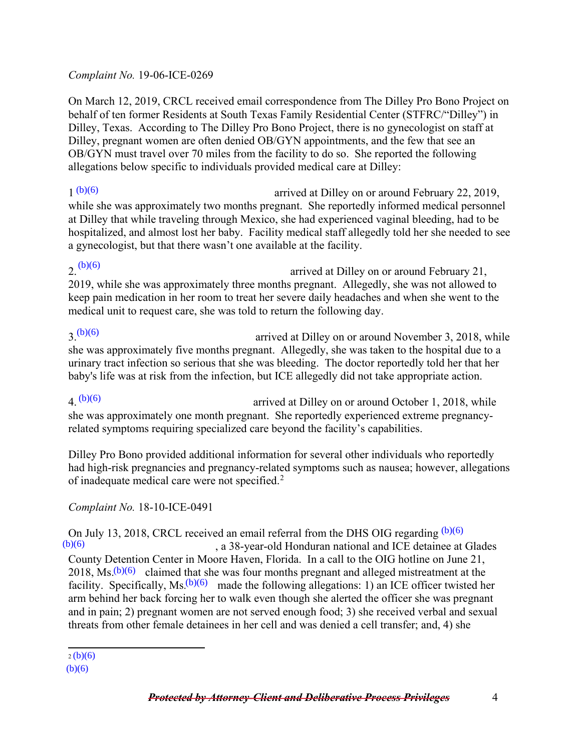#### *Complaint No.* 19-06-ICE-0269

On March 12, 2019, CRCL received email correspondence from The Dilley Pro Bono Project on behalf of ten former Residents at South Texas Family Residential Center (STFRC/"Dilley") in Dilley, Texas. According to The Dilley Pro Bono Project, there is no gynecologist on staff at Dilley, pregnant women are often denied OB/GYN appointments, and the few that see an OB/GYN must travel over 70 miles from the facility to do so. She reported the following allegations below specific to individuals provided medical care at Dilley:

arrived at Dilley on or around February 22, 2019, while she was approximately two months pregnant. She reportedly informed medical personnel at Dilley that while traveling through Mexico, she had experienced vaginal bleeding, had to be hospitalized, and almost lost her baby. Facility medical staff allegedly told her she needed to see a gynecologist, but that there wasn't one available at the facility.  $1(b)(6)$ 

arrived at Dilley on or around February 21, 2019, while she was approximately three months pregnant. Allegedly, she was not allowed to keep pain medication in her room to treat her severe daily headaches and when she went to the medical unit to request care, she was told to return the following day.  $2.$  (b)(6)

#### 3. arrived at Dilley on or around November 3, 2018, while she was approximately five months pregnant. Allegedly, she was taken to the hospital due to a urinary tract infection so serious that she was bleeding. The doctor reportedly told her that her baby's life was at risk from the infection, but ICE allegedly did not take appropriate action.  $2^{(b)(6)}$

arrived at Dilley on or around October 1, 2018, while she was approximately one month pregnant. She reportedly experienced extreme pregnancyrelated symptoms requiring specialized care beyond the facility's capabilities.  $(4)(6)$ 

Dilley Pro Bono provided additional information for several other individuals who reportedly had high-risk pregnancies and pregnancy-related symptoms such as nausea; however, allegations of inadequate medical care were not specified.[2](#page-3-0)

# *Complaint No.* 18-10-ICE-0491

On July 13, 2018, CRCL received an email referral from the DHS OIG regarding  $(b)(6)$ 

, a 38-year-old Honduran national and ICE detainee at Glades County Detention Center in Moore Haven, Florida. In a call to the OIG hotline on June 21, 2018, Ms. $(b)(6)$  claimed that she was four months pregnant and alleged mistreatment at the facility. Specifically, Ms.<sup>(b)(6)</sup> made the following allegations: 1) an ICE officer twisted her arm behind her back forcing her to walk even though she alerted the officer she was pregnant and in pain; 2) pregnant women arm behind her back forcing her to walk even though she alerted the officer she was pregnant and in pain; 2) pregnant women are not served enough food; 3) she received verbal and sexual threats from other female detainees in her cell and was denied a cell transfer; and, 4) she  $(b)(6)$ 

 $\frac{2(b)(6)}{2(b)(6)}$ 

<span id="page-3-0"></span>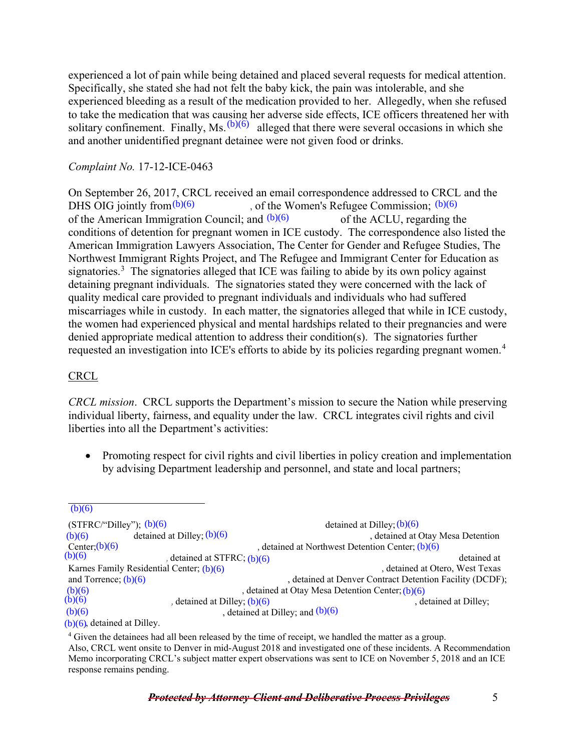experienced a lot of pain while being detained and placed several requests for medical attention. Specifically, she stated she had not felt the baby kick, the pain was intolerable, and she experienced bleeding as a result of the medication provided to her. Allegedly, when she refused to take the medication that was causing her adverse side effects, ICE officers threatened her with solitary confinement. Finally, Ms.  $(b)(6)$  alleged that there were several occasions in which she and another unidentified pregnant detainee were not given food or drinks.

#### *Complaint No.* 17-12-ICE-0463

On September 26, 2017, CRCL received an email correspondence addressed to CRCL and the of the Women's Refugee Commission;  $(b)(6)$ of the American Immigration Council; and  $(b)(6)$  of the ACLU, regarding the conditions of detention for pregnant women in ICE custody. The correspondence also listed the American Immigration Lawyers Association, The Center for Gender and Refugee Studies, The Northwest Immigrant Rights Project, and The Refugee and Immigrant Center for Education as signatories.<sup>[3](#page-4-0)</sup> The signatories alleged that ICE was failing to abide by its own policy against detaining pregnant individuals. The signatories stated they were concerned with the lack of quality medical care provided to pregnant individuals and individuals who had suffered miscarriages while in custody. In each matter, the signatories alleged that while in ICE custody, the women had experienced physical and mental hardships related to their pregnancies and were denied appropriate medical attention to address their condition(s). The signatories further requested an investigation into ICE's efforts to abide by its policies regarding pregnant women.<sup>[4](#page-4-1)</sup> DHS OIG jointly from  $(b)(6)$ DHS OIG jointly from<br>(0)(6) (of the Women's Refugee Commission; (0)(6)<br>on the American Immigration Council; and (0)(6)<br>conditions of decretion for pregnant women in ICI? custody. The correspondence als<br>conditions of decre

### **CRCL**

*CRCL mission*. CRCL supports the Department's mission to secure the Nation while preserving individual liberty, fairness, and equality under the law. CRCL integrates civil rights and civil liberties into all the Department's activities:

• Promoting respect for civil rights and civil liberties in policy creation and implementation by advising Department leadership and personnel, and state and local partners;

 $(b)(6)$ 

<span id="page-4-0"></span> $(STFRC''Dilley''); (b)(6)$ , detained at Otay Mesa Detention Center;  $(b)(6)$ <br>  $(b)(6)$  (b)(6) (c) detained at STFRC;  $(b)(6)$ detained at STFRC; (b)(6) detained at Center; (b)(6) detained at Center; (b)(6) detained at Otero, West Texas Karnes Family Residential Center; (b)(6) (b) (b) (b) (b) (c) (c) (c) (c) (c) (c) (c) (detained at Otero, West Texas , detained at Denver Contract Detention Facility (DCDF); , detained at Otay Mesa Detention Center; (b)(6) (b)(6) (b)(6) (b)(6) , detained at Dilley;  $(b)(6)$  , detained at Dilley;  $(b)(6)$ , detained at Dilley; and  $(b)(6)$  $(b)(6)$ , detained at Dilley. detained at Dilley;  $(b)(6)$ (b)(6) detained at Dilley;  $(b)(6)$ and Torrence;  $(b)(6)$ 

<span id="page-4-1"></span><sup>4</sup> Given the detainees had all been released by the time of receipt, we handled the matter as a group. Also, CRCL went onsite to Denver in mid-August 2018 and investigated one of these incidents. A Recommendation Memo incorporating CRCL's subject matter expert observations was sent to ICE on November 5, 2018 and an ICE response remains pending.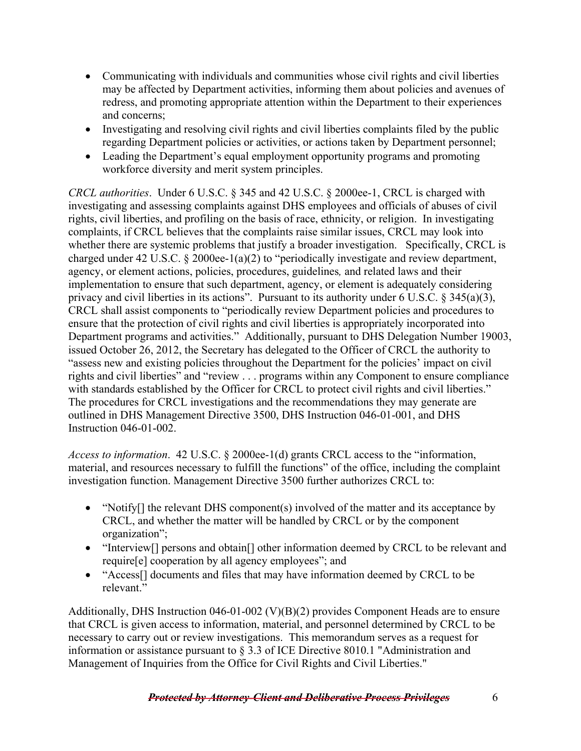- Communicating with individuals and communities whose civil rights and civil liberties may be affected by Department activities, informing them about policies and avenues of redress, and promoting appropriate attention within the Department to their experiences and concerns;
- Investigating and resolving civil rights and civil liberties complaints filed by the public regarding Department policies or activities, or actions taken by Department personnel;
- Leading the Department's equal employment opportunity programs and promoting workforce diversity and merit system principles.

*CRCL authorities*. Under 6 U.S.C. § 345 and 42 U.S.C. § 2000ee-1, CRCL is charged with investigating and assessing complaints against DHS employees and officials of abuses of civil rights, civil liberties, and profiling on the basis of race, ethnicity, or religion. In investigating complaints, if CRCL believes that the complaints raise similar issues, CRCL may look into whether there are systemic problems that justify a broader investigation. Specifically, CRCL is charged under 42 U.S.C. § 2000ee-1(a)(2) to "periodically investigate and review department, agency, or element actions, policies, procedures, guidelines*,* and related laws and their implementation to ensure that such department, agency, or element is adequately considering privacy and civil liberties in its actions". Pursuant to its authority under 6 U.S.C. § 345(a)(3), CRCL shall assist components to "periodically review Department policies and procedures to ensure that the protection of civil rights and civil liberties is appropriately incorporated into Department programs and activities." Additionally, pursuant to DHS Delegation Number 19003, issued October 26, 2012, the Secretary has delegated to the Officer of CRCL the authority to "assess new and existing policies throughout the Department for the policies' impact on civil rights and civil liberties" and "review . . . programs within any Component to ensure compliance with standards established by the Officer for CRCL to protect civil rights and civil liberties." The procedures for CRCL investigations and the recommendations they may generate are outlined in DHS Management Directive 3500, DHS Instruction 046-01-001, and DHS Instruction 046-01-002.

*Access to information*. 42 U.S.C. § 2000ee-1(d) grants CRCL access to the "information, material, and resources necessary to fulfill the functions" of the office, including the complaint investigation function. Management Directive 3500 further authorizes CRCL to:

- "Notify $\iint$  the relevant DHS component(s) involved of the matter and its acceptance by CRCL, and whether the matter will be handled by CRCL or by the component organization";
- "Interview<sup>[]</sup> persons and obtain<sup>[]</sup> other information deemed by CRCL to be relevant and require[e] cooperation by all agency employees"; and
- "Access<sup>[]</sup> documents and files that may have information deemed by CRCL to be relevant."

Additionally, DHS Instruction 046-01-002 (V)(B)(2) provides Component Heads are to ensure that CRCL is given access to information, material, and personnel determined by CRCL to be necessary to carry out or review investigations. This memorandum serves as a request for information or assistance pursuant to § 3.3 of ICE Directive 8010.1 "Administration and Management of Inquiries from the Office for Civil Rights and Civil Liberties."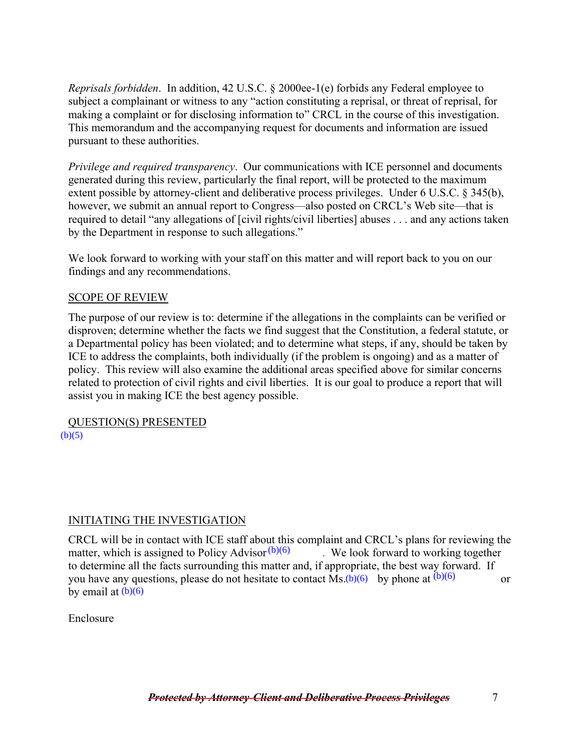*Reprisals forbidden*. In addition, 42 U.S.C. § 2000ee-1(e) forbids any Federal employee to subject a complainant or witness to any "action constituting a reprisal, or threat of reprisal, for making a complaint or for disclosing information to" CRCL in the course of this investigation. This memorandum and the accompanying request for documents and information are issued pursuant to these authorities.

*Privilege and required transparency*. Our communications with ICE personnel and documents generated during this review, particularly the final report, will be protected to the maximum extent possible by attorney-client and deliberative process privileges. Under 6 U.S.C. § 345(b), however, we submit an annual report to Congress—also posted on CRCL's Web site—that is required to detail "any allegations of [civil rights/civil liberties] abuses . . . and any actions taken by the Department in response to such allegations."

We look forward to working with your staff on this matter and will report back to you on our findings and any recommendations.

#### SCOPE OF REVIEW

The purpose of our review is to: determine if the allegations in the complaints can be verified or disproven; determine whether the facts we find suggest that the Constitution, a federal statute, or a Departmental policy has been violated; and to determine what steps, if any, should be taken by ICE to address the complaints, both individually (if the problem is ongoing) and as a matter of policy. This review will also examine the additional areas specified above for similar concerns related to protection of civil rights and civil liberties. It is our goal to produce a report that will assist you in making ICE the best agency possible.

QUESTION(S) PRESENTED  $(b)(5)$ 

# INITIATING THE INVESTIGATION

CRCL will be in contact with ICE staff about this complaint and CRCL's plans for reviewing the matter, which is assigned to Policy Advisor $(b)(6)$ . We look forward to working together to determine all the facts surrounding this matter and, if appropriate, the best way forward. If you have any questions, please do not hesitate to contact  $\overline{Ms(b)(6)}$  by phone at  $(b)(6)$  or by email at (b)(6)

Enclosure